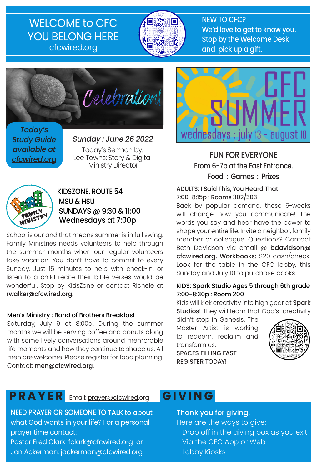## WELCOME to CFC YOU BELONG HERE cfcwired.org



NEW TO CFC? We'd love to get to know you. Stop by the Welcome Desk and pick up a gift.



Today's **Study Guide** available at cfcwired.org

Sunday : June 26 2022 Today's Sermon by: Lee Towns: Story & Digital Ministry Director



#### KIDSZONE, ROUTE 54 MSU & HSU SUNDAYS @ 9:30 & 11:00 Wednesdays at 7:00p

School is our and that means summer is in full swing. Family Ministries needs volunteers to help through the summer months when our regular volunteers take vacation. You don't have to commit to every Sunday. Just 15 minutes to help with check-in, or listen to a child recite their bible verses would be wonderful. Stop by KidsZone or contact Richele at rwalker@cfcwired.org.

#### Men's Ministry : Band of Brothers Breakfast

Saturday, July 9 at 8:00a. During the summer months we will be serving coffee and donuts along with some lively conversations around memorable life moments and how they continue to shape us. All men are welcome. Please register for food planning. Contact: men@cfcwired.org.

# **PRAYER** Email: prayer@cfcwired.org

NEED PRAYER OR SOMEONE TO TALK to about what God wants in your life? For a personal prayer time contact: Pastor Fred Clark: fclark@cfcwired.org or

Jon Ackerman: jackerman@cfcwired.org



FUN FOR EVERYONE From 6-7p at the East Entrance. Food : Games : Prizes

#### ADULTS: I Said This, You Heard That 7:00-8:15p : Rooms 302/303

Back by popular demand, these 5-weeks will change how you communicate! The words you say and hear have the power to shape your entire life. Invite a neighbor, family member or colleague. Questions? Contact Beth Davidson via email @ bdavidson@ cfcwired.org. Workbooks: \$20 cash/check. Look for the table in the CFC lobby, this Sunday and July 10 to purchase books.

#### KIDS: Spark Studio Ages 5 through 6th grade 7:00-8:30p : Room 200

Kids will kick creativity into high gear at Spark Studios! They will learn that God's creativity

didn't stop in Genesis. The Master Artist is working to redeem, reclaim and transform us. SPACES FILLING FAST

REGISTER TODAY!



# **GIVING**

Thank you for giving. Here are the ways to give: Drop off in the giving box as you exit Via the CFC App or Web Lobby Kiosks